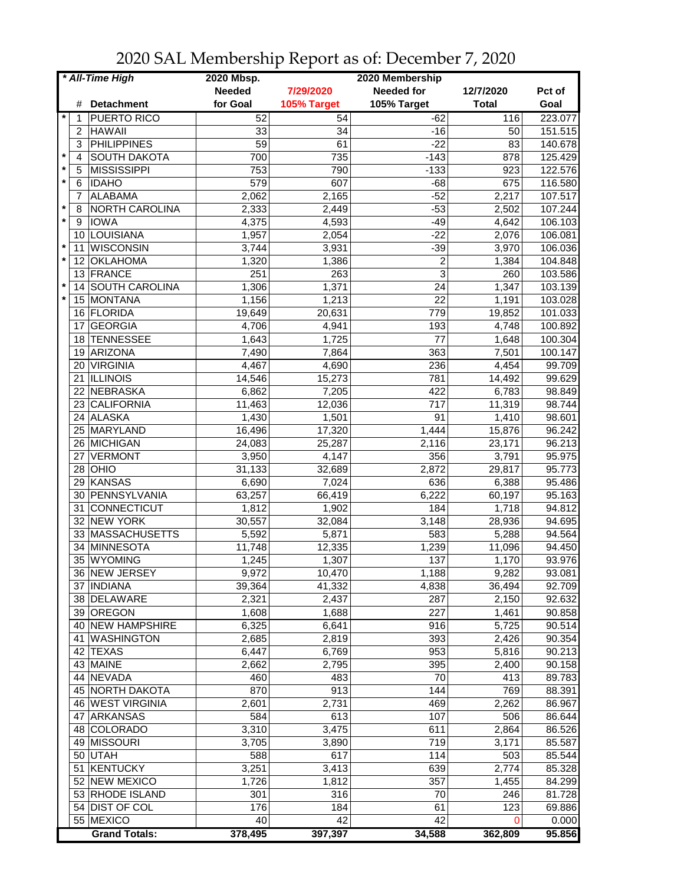| * All-Time High |                       | 2020 Mbsp.      |             |                   |              |         |
|-----------------|-----------------------|-----------------|-------------|-------------------|--------------|---------|
|                 |                       | <b>Needed</b>   | 7/29/2020   | <b>Needed for</b> | 12/7/2020    | Pct of  |
| #               | <b>Detachment</b>     | for Goal        | 105% Target | 105% Target       | <b>Total</b> | Goal    |
| 1               | PUERTO RICO           | 52              | 54          | $-62$             | 116          | 223.077 |
| $\overline{2}$  | <b>HAWAII</b>         | 33              | 34          | -16               | 50           | 151.515 |
| 3               | <b>PHILIPPINES</b>    | $\overline{59}$ | 61          | $-22$             | 83           | 140.678 |
| $\star$<br>4    | <b>SOUTH DAKOTA</b>   | 700             | 735         | $-143$            | 878          | 125.429 |
| $\star$<br>5    | <b>MISSISSIPPI</b>    | 753             | 790         | $-133$            | 923          | 122.576 |
| $\star$<br>6    | <b>IDAHO</b>          | 579             | 607         | $-68$             | 675          | 116.580 |
| $\overline{7}$  | <b>ALABAMA</b>        | 2,062           | 2,165       | $-52$             | 2,217        | 107.517 |
| $\ast$<br>8     | NORTH CAROLINA        | 2,333           | 2,449       | $-53$             | 2,502        | 107.244 |
| $\star$<br>9    | <b>IOWA</b>           | 4,375           | 4,593       | $-49$             | 4,642        | 106.103 |
| 10              | LOUISIANA             |                 | 2,054       | $-22$             | 2,076        | 106.081 |
| $\star$         | <b>WISCONSIN</b>      | 1,957           |             |                   |              |         |
| 11<br>$\star$   |                       | 3,744           | 3,931       | $-39$             | 3,970        | 106.036 |
| 12              | <b>OKLAHOMA</b>       | 1,320           | 1,386       | 2                 | 1,384        | 104.848 |
| 13              | FRANCE                | 251             | 263         | 3                 | 260          | 103.586 |
| $\star$<br>14   | <b>SOUTH CAROLINA</b> | 1,306           | 1,371       | 24                | 1,347        | 103.139 |
| $\star$         | 15 MONTANA            | 1,156           | 1,213       | 22                | 1,191        | 103.028 |
| 16              | FLORIDA               | 19,649          | 20,631      | 779               | 19,852       | 101.033 |
| 17              | <b>GEORGIA</b>        | 4,706           | 4,941       | 193               | 4,748        | 100.892 |
| 18              | <b>TENNESSEE</b>      | 1,643           | 1,725       | $\overline{77}$   | 1,648        | 100.304 |
| 19              | ARIZONA               | 7,490           | 7,864       | 363               | 7,501        | 100.147 |
| 20              | <b>VIRGINIA</b>       | 4,467           | 4,690       | 236               | 4,454        | 99.709  |
|                 | 21 ILLINOIS           | 14,546          | 15,273      | 781               | 14,492       | 99.629  |
|                 | 22 NEBRASKA           | 6,862           | 7,205       | 422               | 6,783        | 98.849  |
|                 | 23 CALIFORNIA         | 11,463          | 12,036      | $\overline{717}$  | 11,319       | 98.744  |
|                 | 24 ALASKA             | 1,430           | 1,501       | $\overline{91}$   | 1,410        | 98.601  |
|                 | 25 MARYLAND           | 16,496          | 17,320      | 1,444             | 15,876       | 96.242  |
|                 | 26 MICHIGAN           | 24,083          | 25,287      | 2,116             | 23,171       | 96.213  |
| 27              | <b>VERMONT</b>        | 3,950           | 4,147       | 356               | 3,791        | 95.975  |
| 28              | OHIO                  | 31,133          | 32,689      | 2,872             | 29,817       | 95.773  |
| 29              | KANSAS                | 6,690           | 7,024       | 636               | 6,388        | 95.486  |
| 30              | PENNSYLVANIA          | 63,257          | 66,419      | 6,222             | 60,197       | 95.163  |
| 31              | CONNECTICUT           | 1,812           | 1,902       | 184               | 1,718        | 94.812  |
|                 | 32 NEW YORK           | 30,557          | 32,084      | 3,148             | 28,936       | 94.695  |
|                 | 33 MASSACHUSETTS      | 5,592           | 5,871       | 583               | 5,288        | 94.564  |
| 34              | MINNESOTA             |                 | 12,335      | 1,239             |              | 94.450  |
|                 | <b>WYOMING</b>        | 11,748          |             |                   | 11,096       |         |
| 35              |                       | 1,245           | 1,307       | 137               | 1,170        | 93.976  |
|                 | 36 NEW JERSEY         | 9,972           | 10,470      | 1,188             | 9,282        | 93.081  |
|                 | 37   INDIANA          | 39,364          | 41,332      | 4,838             | 36,494       | 92.709  |
|                 | 38 DELAWARE           | 2,321           | 2,437       | 287               | 2,150        | 92.632  |
|                 | 39 OREGON             | 1,608           | 1,688       | 227               | 1,461        | 90.858  |
|                 | 40 NEW HAMPSHIRE      | 6,325           | 6,641       | 916               | 5,725        | 90.514  |
|                 | 41   WASHINGTON       | 2,685           | 2,819       | 393               | 2,426        | 90.354  |
|                 | 42 TEXAS              | 6,447           | 6,769       | 953               | 5,816        | 90.213  |
|                 | 43 MAINE              | 2,662           | 2,795       | 395               | 2,400        | 90.158  |
|                 | 44 NEVADA             | 460             | 483         | 70                | 413          | 89.783  |
|                 | 45 NORTH DAKOTA       | 870             | 913         | 144               | 769          | 88.391  |
|                 | 46 WEST VIRGINIA      | 2,601           | 2,731       | 469               | 2,262        | 86.967  |
| 47              | ARKANSAS              | 584             | 613         | 107               | 506          | 86.644  |
|                 | 48 COLORADO           | 3,310           | 3,475       | 611               | 2,864        | 86.526  |
|                 | 49 MISSOURI           | 3,705           | 3,890       | 719               | 3,171        | 85.587  |
|                 | 50 UTAH               | 588             | 617         | 114               | 503          | 85.544  |
|                 | 51 KENTUCKY           | 3,251           | 3,413       | 639               | 2,774        | 85.328  |
|                 | 52 NEW MEXICO         | 1,726           | 1,812       | 357               | 1,455        | 84.299  |
|                 | 53 RHODE ISLAND       | 301             | 316         | 70                | 246          | 81.728  |
|                 | 54 DIST OF COL        | 176             | 184         | 61                | 123          | 69.886  |
|                 | 55 MEXICO             | 40              | 42          | 42                | 0            | 0.000   |
|                 | <b>Grand Totals:</b>  | 378,495         | 397,397     | 34,588            | 362,809      | 95.856  |

2020 SAL Membership Report as of: December 7, 2020